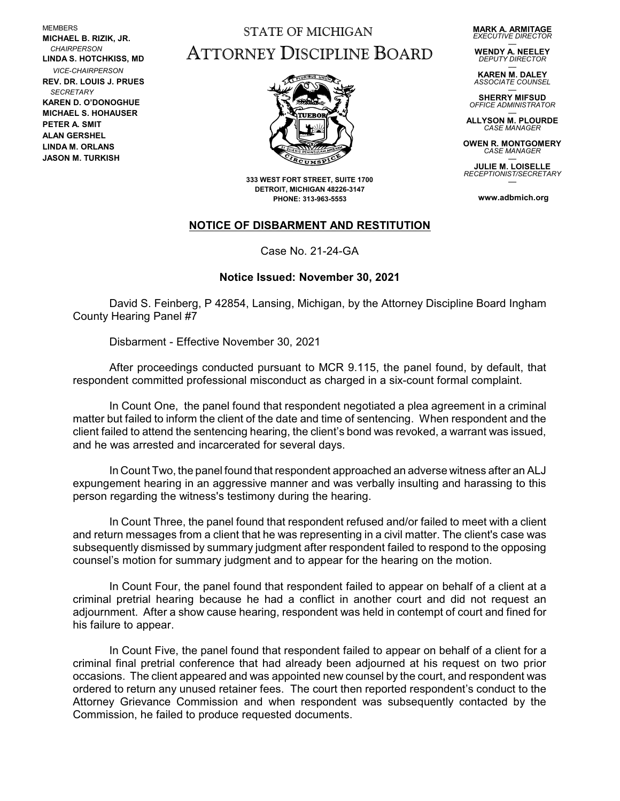**MEMBERS MICHAEL B. RIZIK, JR.**  *CHAIRPERSON* **LINDA S. HOTCHKISS, MD** *VICE-CHAIRPERSON* **REV. DR. LOUIS J. PRUES**  *SECRETARY* **KAREN D. O'DONOGHUE MICHAEL S. HOHAUSER PETER A. SMIT ALAN GERSHEL LINDA M. ORLANS JASON M. TURKISH**

## STATE OF MICHIGAN ATTORNEY DISCIPLINE BOARD

**MARK A. ARMITAGE** *EXECUTIVE DIRECTOR*

— **WENDY A. NEELEY** *DEPUTY DIRECTOR*

— **KAREN M. DALEY** *ASSOCIATE COUNSEL*

— **SHERRY MIFSUD** *OFFICE ADMINISTRATOR*

— **ALLYSON M. PLOURDE CASE MANAGE** 

**OWEN R. MONTGOMERY** *CASE MANAGER* —

**JULIE M. LOISELLE** *RECEPTIONIST/SECRETARY* —

**www.adbmich.org**



**333 WEST FORT STREET, SUITE 1700 DETROIT, MICHIGAN 48226-3147 PHONE: 313-963-5553**

## **NOTICE OF DISBARMENT AND RESTITUTION**

Case No. 21-24-GA

## **Notice Issued: November 30, 2021**

David S. Feinberg, P 42854, Lansing, Michigan, by the Attorney Discipline Board Ingham County Hearing Panel #7

Disbarment - Effective November 30, 2021

After proceedings conducted pursuant to MCR 9.115, the panel found, by default, that respondent committed professional misconduct as charged in a six-count formal complaint.

In Count One, the panel found that respondent negotiated a plea agreement in a criminal matter but failed to inform the client of the date and time of sentencing. When respondent and the client failed to attend the sentencing hearing, the client's bond was revoked, a warrant was issued, and he was arrested and incarcerated for several days.

In Count Two, the panel found that respondent approached an adverse witness after an ALJ expungement hearing in an aggressive manner and was verbally insulting and harassing to this person regarding the witness's testimony during the hearing.

In Count Three, the panel found that respondent refused and/or failed to meet with a client and return messages from a client that he was representing in a civil matter. The client's case was subsequently dismissed by summary judgment after respondent failed to respond to the opposing counsel's motion for summary judgment and to appear for the hearing on the motion.

In Count Four, the panel found that respondent failed to appear on behalf of a client at a criminal pretrial hearing because he had a conflict in another court and did not request an adjournment. After a show cause hearing, respondent was held in contempt of court and fined for his failure to appear.

In Count Five, the panel found that respondent failed to appear on behalf of a client for a criminal final pretrial conference that had already been adjourned at his request on two prior occasions. The client appeared and was appointed new counsel by the court, and respondent was ordered to return any unused retainer fees. The court then reported respondent's conduct to the Attorney Grievance Commission and when respondent was subsequently contacted by the Commission, he failed to produce requested documents.